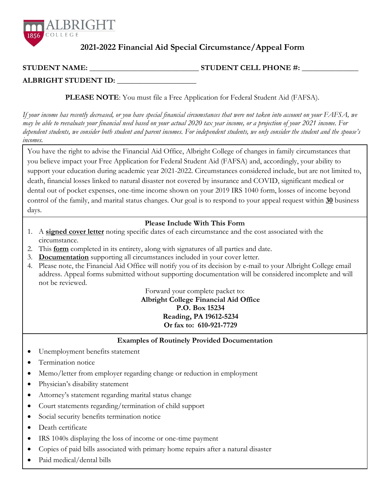

## **2021-2022 Financial Aid Special Circumstance/Appeal Form**

## **STUDENT NAME:** \_\_\_\_\_\_\_\_\_\_\_\_\_\_\_\_\_\_\_\_\_\_\_\_\_\_\_\_\_ **STUDENT CELL PHONE #: \_\_\_\_\_\_\_\_\_\_\_\_\_\_\_**

**ALBRIGHT STUDENT ID:** \_\_\_\_\_\_\_\_\_\_\_\_\_\_\_\_\_\_\_\_\_

**PLEASE NOTE**: You must file a Free Application for Federal Student Aid (FAFSA).

*If your income has recently decreased, or you have special financial circumstances that were not taken into account on your FAFSA, we may be able to reevaluate your financial need based on your actual 2020 tax year income, or a projection of your 2021 income. For dependent students, we consider both student and parent incomes. For independent students, we only consider the student and the spouse's incomes.*

You have the right to advise the Financial Aid Office, Albright College of changes in family circumstances that you believe impact your Free Application for Federal Student Aid (FAFSA) and, accordingly, your ability to support your education during academic year 2021-2022. Circumstances considered include, but are not limited to, death, financial losses linked to natural disaster not covered by insurance and COVID, significant medical or dental out of pocket expenses, one-time income shown on your 2019 IRS 1040 form, losses of income beyond control of the family, and marital status changes. Our goal is to respond to your appeal request within **30** business days.

## **Please Include With This Form**

- 1. A **signed cover letter** noting specific dates of each circumstance and the cost associated with the circumstance.
- 2. This **form** completed in its entirety, along with signatures of all parties and date.
- 3. **Documentation** supporting all circumstances included in your cover letter.
- 4. Please note, the Financial Aid Office will notify you of its decision by e-mail to your Albright College email address. Appeal forms submitted without supporting documentation will be considered incomplete and will not be reviewed.

Forward your complete packet to: **Albright College Financial Aid Office**

**P.O. Box 15234 Reading, PA 19612-5234 Or fax to: 610-921-7729**

**Examples of Routinely Provided Documentation**

- Unemployment benefits statement
- Termination notice
- Memo/letter from employer regarding change or reduction in employment
- Physician's disability statement
- Attorney's statement regarding marital status change
- Court statements regarding/termination of child support
- Social security benefits termination notice
- Death certificate
- IRS 1040s displaying the loss of income or one-time payment
- Copies of paid bills associated with primary home repairs after a natural disaster
- Paid medical/dental bills